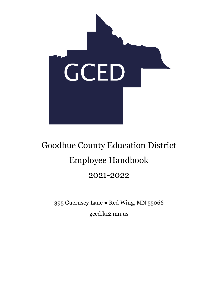

# Goodhue County Education District Employee Handbook 2021-2022

395 Guernsey Lane ● Red Wing, MN 55066 gced.k12.mn.us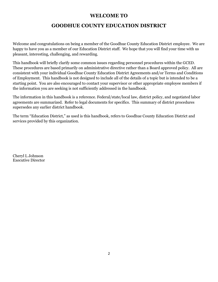# **WELCOME TO**

# **GOODHUE COUNTY EDUCATION DISTRICT**

Welcome and congratulations on being a member of the Goodhue County Education District employee. We are happy to have you as a member of our Education District staff. We hope that you will find your time with us pleasant, interesting, challenging, and rewarding.

This handbook will briefly clarify some common issues regarding personnel procedures within the GCED. These procedures are based primarily on administrative directive rather than a Board approved policy. All are consistent with your individual Goodhue County Education District Agreements and/or Terms and Conditions of Employment. This handbook is not designed to include all of the details of a topic but is intended to be a starting point. You are also encouraged to contact your supervisor or other appropriate employee members if the information you are seeking is not sufficiently addressed in the handbook.

The information in this handbook is a reference. Federal/state/local law, district policy, and negotiated labor agreements are summarized. Refer to legal documents for specifics. This summary of district procedures supersedes any earlier district handbook.

The term "Education District," as used is this handbook, refers to Goodhue County Education District and services provided by this organization.

Cheryl L Johnson Executive Director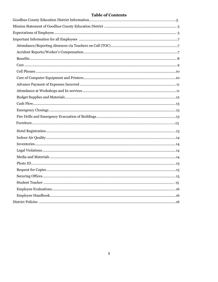# **Table of Contents**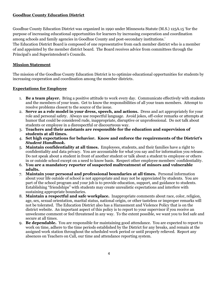# **Goodhue County Education District**

Goodhue County Education District was organized in 1990 under Minnesota Statute (M.S.) 125A.15 'for the purpose of increasing educational opportunities for learners by increasing cooperation and coordination among schools and family agencies in Goodhue County and post-secondary institutions.'

The Education District Board is composed of one representative from each member district who is a member of and appointed by the member district board. The Board receives advice from committees through the Principal's and Superintendent's Councils.

# **Mission Statement**

The mission of the Goodhue County Education District is to optimize educational opportunities for students by increasing cooperation and coordination among the member districts.

# **Expectations for Employee**

- 1. **Be a team player.** Bring a positive attitude to work every day. Communicate effectively with students and the members of your team. Get to know the responsibilities of all your team members. Attempt to resolve problems closest to the source of the issue.
- 2. **Serve as a role model in your dress, speech, and actions.** Dress and act appropriately for your role and personal safety. Always use respectful language. Avoid jokes, off-color remarks or attempts at humor that could be considered rude, inappropriate, disruptive or unprofessional. Do not talk about students or employee in a disrespectful or discourteous way.
- 3. **Teachers and their assistants are responsible for the education and supervision of students at all times.**
- 4. **Set high expectations for behavior. Know and enforce the requirements of the District's**  *Student Handbook.*
- 5. **Maintain confidentiality at all times.** Employees, students, and their families have a right to confidentiality and data privacy. You are accountable for what you say and for information you release. Do not speak about a student in front of another student or talk about a student to employee or others in or outside school except on a need to know basis. Respect other employee members' confidentiality.
- 6. **You are a mandatory reporter of suspected maltreatment of minors and vulnerable adults.**
- 7. **Maintain your personal and professional boundaries at all times.** Personal information about your life outside of school is not appropriate and may not be appreciated by students. You are part of the school program and your job is to provide education, support, and guidance to students. Establishing "friendships" with students may create unrealistic expectations and interfere with sustaining appropriate boundaries.
- 8. **Maintain a respectful and safe workplace.** Inappropriate comments about race, color, religion, age, sex, sexual orientation, marital status, national origin, or other tasteless or improper remarks will not be tolerated. The Education District also has a Harassment and Violence Policy that is on the district website. An important aspect of this policy is to report to your supervisor if you receive an unwelcome comment or feel threatened in any way. To the extent possible, we want you to feel safe and secure at all times.
- 9. **Be dependable.** You are responsible for maintaining good attendance. You are expected to report to work on time, adhere to the time periods established by the District for any breaks, and remain at the assigned work station throughout the scheduled work period or until properly relieved. Report any absences on Teachers on Call, our time and attendance reporting system.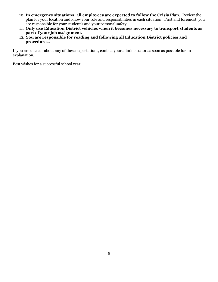- 10. **In emergency situations, all employees are expected to follow the Crisis Plan.** Review the plan for your location and know your role and responsibilities in each situation. First and foremost, you are responsible for your student's and your personal safety.
- 11. **Only use Education District vehicles when it becomes necessary to transport students as part of your job assignment.**
- 12. **You are responsible for reading and following all Education District policies and procedures.**

If you are unclear about any of these expectations, contact your administrator as soon as possible for an explanation.

Best wishes for a successful school year!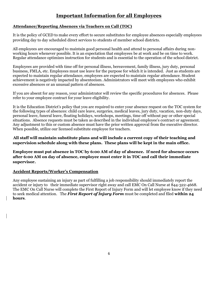# **Important Information for all Employees**

# **Attendance/Reporting Absences via Teachers on Call (TOC)**

It is the policy of GCED to make every effort to secure substitutes for employee absences especially employees providing day to day scheduled direct services to students of member school districts.

All employees are encouraged to maintain good personal health and attend to personal affairs during nonworking hours whenever possible. It is an expectation that employees be at work and be on time to work. Regular attendance optimizes instruction for students and is essential to the operation of the school district.

Employees are provided with time off for personal illness, bereavement, family illness, jury duty, personal business, FMLA, etc. Employees must use leave for the purpose for which it is intended. Just as students are expected to maintain regular attendance, employees are expected to maintain regular attendance. Student achievement is negatively impacted by absenteeism. Administrators will meet with employees who exhibit excessive absences or an unusual pattern of absences.

If you are absent for any reason, your administrator will review the specific procedures for absences. Please refer to your employee contract for your leave eligibility.

It is the Education District's policy that you are required to enter your absence request on the TOC system for the following types of absences: child care leave, surgeries, medical leaves, jury duty, vacation, non-duty days, personal leave, funeral leave, floating holidays, workshops, meetings, time off without pay or other special situations. Absence requests must be taken as described in the individual employee's contract or agreement. Any adjustment to this or custom absence must have the prior written approval from the executive director. When possible, utilize our licensed substitute employee for teachers.

**All staff will maintain substitute plans and will include a current copy of their teaching and supervision schedule along with these plans. These plans will be kept in the main office.**

**Employee must put absence in TOC by 6:00 AM of day of absence. If need for absence occurs after 6:00 AM on day of absence, employee must enter it in TOC and call their immediate supervisor.**

#### **Accident Reports/Worker's Compensation**

Any employee sustaining an injury as part of fulfilling a job responsibility should immediately report the accident or injury to their immediate supervisor right away and call EMC On Call Nurse at 844-322-4668. The EMC On Call Nurse will complete the First Report of Injury Form and will let employee know if they need to seek medical attention. The *First Report of Injury Form* must be completed and filed **within 24 hours**.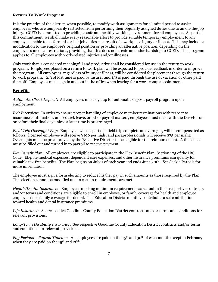# **Return To Work Program**

It is the practice of the district, when possible, to modify work assignments for a limited period to assist employees who are temporarily restricted from performing their regularly assigned duties due to an on-the-job injury. GCED is committed to providing a safe and healthy working environment for all employees. As part of this commitment, we shall make every reasonable effort to provide suitable temporary employment to any employee unable to perform his or her job duties as a result of a workplace injury or illness. This may include a modification to the employee's original position or providing an alternative position, depending on the employee's medical restrictions, providing that this does not create an undue hardship to GCED. This program applies to all employees with work-related injuries and/or illnesses.

Only work that is considered meaningful and productive shall be considered for use in the return to work program. Employees placed on a return to work plan will be expected to provide feedback in order to improve the program. All employees, regardless of injury or illness, will be considered for placement through the return to work program. 2/3 of lost time is paid by insurer and 1/3 is paid through the use of vacation or other paid time off. Employees must sign in and out in the office when leaving for a work comp appointment.

# **Benefits**

*Automatic Check Deposit*: All employees must sign up for automatic deposit payroll program upon employment.

*Exit Interview*: In order to ensure proper handling of employee member terminations with respect to insurance continuation, unused sick leave, or other payroll matters, employees must meet with the Director on or before their final day unless a later time is prearranged.

*Field Trip Overnight Pay:* Employee, who as part of a field trip complete an overnight, will be compensated as follows: licensed employee will receive \$100 per night and paraprofessionals will receive \$75 per night. Overnights must be preapproved by the Executive Director to be eligible for the reimbursement. A timesheet must be filled out and turned in to payroll to receive payment.

*Flex Benefit Plan*: All employees are eligible to participate in the Flex Benefit Plan, Section 125 of the IRS Code. Eligible medical expenses, dependent care expenses, and other insurance premiums can qualify for valuable tax-free benefits. The Plan begins on July 1 of each year and ends June 30th. See Jackie Paradis for more information.

The employee must sign a form electing to reduce his/her pay in such amounts as those required by the Plan. This election cannot be modified unless certain requirements are met.

*Health/Dental Insurance*: Employees meeting minimum requirements as set out in their respective contracts and/or terms and conditions are eligible to enroll in employee, or family coverage for health and employee, employee+1 or family coverage for dental. The Education District monthly contributes a set contribution toward health and dental insurance premiums.

*Life Insurance*: See respective Goodhue County Education District contracts and/or terms and conditions for relevant provisions.

*Long-Term Disability Insurance*: See respective Goodhue County Education District contracts and/or terms and conditions for relevant provisions.

*Pay Periods – Payroll Timeline*: All employees are paid on the 15<sup>th</sup> and 30<sup>th</sup> of each month except in February when they are paid on the  $15^{\text{th}}$  and  $28^{\text{th}}$ .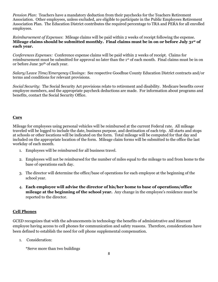*Pension Plan*: Teachers have a mandatory deduction from their paychecks for the Teachers Retirement Association. Other employees, unless excluded, are eligible to participate in the Public Employees Retirement Association Plan. The Education District contributes the required percentage to TRA and PERA for all enrolled employees.

*Reimbursement of Expenses*: Mileage claims will be paid within 2 weeks of receipt following the expense. **Mileage claims should be submitted monthly. Final claims must be in on or before July 31st of each year.**

*Conferences Expenses:* Conference expense claims will be paid within 2 weeks of receipt. Claims for reimbursement must be submitted for approval no later than the 1st of each month. Final claims must be in on or before June 30th of each year.

*Salary/Leave Time/Emergency Closings*: See respective Goodhue County Education District contracts and/or terms and conditions for relevant provisions.

*Social Security*: The Social Security Act provisions relate to retirement and disability. Medicare benefits cover employee members, and the appropriate paycheck deductions are made. For information about programs and benefits, contact the Social Security Office.

#### **Cars**

Mileage for employees using personal vehicles will be reimbursed at the current Federal rate. All mileage traveled will be logged to include the date, business purpose, and destination of each trip. All starts and stops at schools or other locations will be indicated on the form. Total mileage will be computed for that day and included on the appropriate location of the form. Mileage claim forms will be submitted to the office the last workday of each month.

- 1. Employees will be reimbursed for all business travel.
- 2. Employees will not be reimbursed for the number of miles equal to the mileage to and from home to the base of operations each day.
- 3. The director will determine the office/base of operations for each employee at the beginning of the school year.
- 4. **Each employee will advise the director of his/her home to base of operations/office mileage at the beginning of the school year.** Any change in the employee's residence must be reported to the director.

#### **Cell Phones**

GCED recognizes that with the advancements in technology the benefits of administrative and itinerant employee having access to cell phones for communication and safety reasons. Therefore, considerations have been defined to establish the need for cell phone supplemental compensation.

1. Consideration:

\*Serve more than two buildings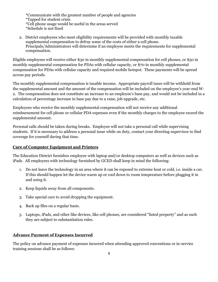\*Communicate with the greatest number of people and agencies \*Tapped for student crisis \*Cell phone usage would be useful in the areas served \*Schedule is not fixed

2. District employees who meet eligibility requirements will be provided with monthly taxable supplemental compensation to defray some of the costs of either a cell phone. Principals/Administrators will determine if an employee meets the requirements for supplemental compensation.

Eligible employees will receive either \$30 in monthly supplemental compensation for cell phones, or \$50 in monthly supplemental compensation for PDAs with cellular capacity, or \$70 in monthly supplemental compensation for PDAs with cellular capacity and required mobile hotspot. These payments will be spread across pay periods.

The monthly supplemental compensation is taxable income. Appropriate payroll taxes will be withheld from the supplemental amount and the amount of the compensation will be included on the employee's year-end W-2. The compensation does not constitute an increase to an employee's base pay, and would not be included in a calculation of percentage increase in base pay due to a raise, job upgrade, etc.

Employees who receive the monthly supplemental compensation will not receive any additional reimbursement for cell phone or cellular PDA expenses even if the monthly charges to the employee exceed the supplemental amount.

Personal calls should be taken during breaks. Employee will not take a personal call while supervising students. If it is necessary to address a personal issue while on duty, contact your directing supervisor to find coverage for yourself during that time.

# **Care of Computer Equipment and Printers**

The Education District furnishes employee with laptop and/or desktop computers as well as devices such as iPads. All employees with technology furnished by GCED shall keep in mind the following:

- 1. Do not leave the technology in an area where it can be exposed to extreme heat or cold, i.e. inside a car. If this should happen let the device warm up or cool down to room temperature before plugging it in and using it.
- 2. Keep liquids away from all components.
- 3. Take special care to avoid dropping the equipment.
- 4. Back up files on a regular basis.
- 5. Laptops, iPads, and other like devices, like cell phones, are considered "listed property" and as such they are subject to substantiation rules.

# **Advance Payment of Expenses Incurred**

The policy on advance payment of expenses incurred when attending approved conventions or in-service training sessions shall be as follows: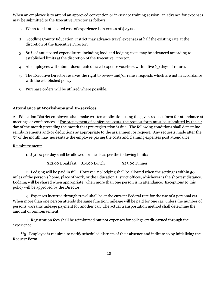When an employee is to attend an approved convention or in-service training session, an advance for expenses may be submitted to the Executive Director as follows:

- 1. When total anticipated cost of experience is in excess of \$25.00.
- 2. Goodhue County Education District may advance travel expenses at half the existing rate at the discretion of the Executive Director.
- 3. 80% of anticipated expenditures including food and lodging costs may be advanced according to established limits at the discretion of the Executive Director.
- 4. All employees will submit documented travel expense vouchers within five (5) days of return.
- 5. The Executive Director reserves the right to review and/or refuse requests which are not in accordance with the established policy.
- 6. Purchase orders will be utilized where possible.

# **Attendance at Workshops and In-services**

All Education District employees shall make written application using the given request form for attendance at meetings or conferences. \*For prepayment of conference costs, the request form must be submitted by the 5<sup>th</sup> day of the month preceding the month that pre-registration is due. The following conditions shall determine reimbursements and/or deductions as appropriate to the assignment or request. Any requests made after the  $5<sup>th</sup>$  of the month may necessitate the employee paying the costs and claiming expenses post attendance.

Reimbursement:

1. \$51.00 per day shall be allowed for meals as per the following limits:

\$12.00 Breakfast \$14.00 Lunch \$25.00 Dinner

2. Lodging will be paid in full. However, no lodging shall be allowed when the setting is within 50 miles of the person's home, place of work, or the Education District offices, whichever is the shortest distance. Lodging will be shared when appropriate, when more than one person is in attendance. Exceptions to this policy will be approved by the Director.

3. Expenses incurred through travel shall be at the current Federal rate for the use of a personal car. When more than one person attends the same function, mileage will be paid for one car, unless the number of persons warrants mileage payment for another car. The actual transportation method shall determine the amount of reimbursement.

4. Registration fees shall be reimbursed but not expenses for college credit earned through the experience.

 \*\*5. Employee is required to notify scheduled districts of their absence and indicate so by initializing the Request Form.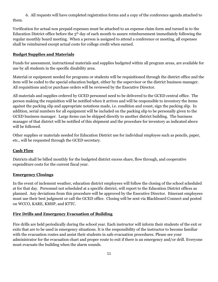6. All requests will have completed registration forms and a copy of the conference agenda attached to them.

Verification for actual non prepaid expenses must be attached to an expense claim form and turned in to the Education District office before the  $5<sup>th</sup>$  day of each month to assure reimbursement immediately following the regular monthly board meeting. When a person is assigned to attend a conference or meeting, all expenses shall be reimbursed except actual costs for college credit when earned.

#### **Budget Supplies and Materials**

Funds for assessment, instructional materials and supplies budgeted within all program areas, are available for use by all students in the specific disability area.

Material or equipment needed for programs or students will be requisitioned through the district office and the item will be coded to the special education budget, either by the supervisor or the district business manager. All requisitions and/or purchase orders will be reviewed by the Executive Director.

All materials and supplies ordered by GCED personnel need to be delivered to the GCED central office. The person making the requisition will be notified when it arrives and will be responsible to inventory the items against the packing slip and appropriate notations made, i.e. condition and count, sign the packing slip. In addition, serial numbers for all equipment will be included on the packing slip to be personally given to the GCED business manager. Large items can be shipped directly to another district building. The business manager of that district will be notified of this shipment and the procedure for inventory as indicated above will be followed.

Other supplies or materials needed for Education District use for individual employee such as pencils, paper, etc., will be requested through the GCED secretary.

#### **Cash Flow**

Districts shall be billed monthly for the budgeted district excess share, flow through, and cooperative expenditure costs for the current fiscal year.

#### **Emergency Closings**

In the event of inclement weather, education district employees will follow the closing of the school scheduled at for that day. Personnel not scheduled at a specific district, will report to the Education District offices as planned. Any deviations from this procedure will be approved by the Executive Director. Itinerant employees must use their best judgment or call the GCED office. Closing will be sent via Blackboard Connect and posted on WCCO, KARE, KMSP, and KTTC.

#### **Fire Drills and Emergency Evacuation of Building**

Fire drills are held periodically during the school year. Each instructor will inform their students of the exit or exits that are to be used in emergency situations. It is the responsibility of the instructor to become familiar with the evacuation routes and assist their students in safe evacuation procedures. Please see your administrator for the evacuation chart and proper route to exit if there is an emergency and/or drill. Everyone must evacuate the building when the alarm sounds.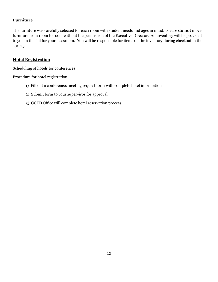# **Furniture**

The furniture was carefully selected for each room with student needs and ages in mind. Please **do not** move furniture from room to room without the permission of the Executive Director. An inventory will be provided to you in the fall for your classroom. You will be responsible for items on the inventory during checkout in the spring.

#### **Hotel Registration**

Scheduling of hotels for conferences

Procedure for hotel registration:

- 1) Fill out a conference/meeting request form with complete hotel information
- 2) Submit form to your supervisor for approval
- 3) GCED Office will complete hotel reservation process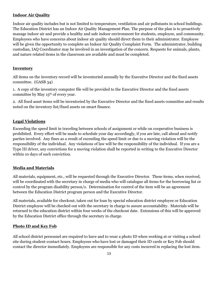# **Indoor Air Quality**

Indoor air quality includes but is not limited to temperature, ventilation and air pollutants in school buildings. The Education District has an Indoor Air Quality Management Plan. The purpose of the plan is to proactively manage indoor air and provide a healthy and safe indoor environment for students, employee, and community. Employees who have concerns about indoor air quality should direct them to their administrator. Employee will be given the opportunity to complete an Indoor Air Quality Complaint Form. The administrator, building custodian, IAQ Coordinator may be involved in an investigation of the concern. Requests for animals, plants, and nature related items in the classroom are available and must be completed.

# **Inventory**

All items on the inventory record will be inventoried annually by the Executive Director and the fixed assets committee. (GASB 34)

1. A copy of the inventory computer file will be provided to the Executive Director and the fixed assets committee by May  $15<sup>th</sup>$  of every year.

2. All fixed asset items will be inventoried by the Executive Director and the fixed assets committee and results noted on the inventory list/fixed assets on smart finance.

# **Legal Violations**

Exceeding the speed limit in traveling between schools of assignment or while on cooperative business is prohibited. Every effort will be made to schedule your day accordingly, if you are late, call ahead and notify parties involved. Any fines as a result of exceeding the speed limit or due to a moving violation will be the responsibility of the individual. Any violations of law will be the responsibility of the individual. If you are a Type III driver, any convictions for a moving violation shall be reported in writing to the Executive Director within 10 days of such conviction.

# **Media and Materials**

All materials, equipment, etc., will be requested through the Executive Director. These items, when received, will be coordinated with the secretary in charge of media who will catalogue all items for the borrowing list or control by the program disability person/s. Determination for control of the item will be an agreement between the Education District program person and the Executive Director.

All materials, available for checkout, taken out for loan by special education district employee or Education District employee will be checked out with the secretary in charge to assure accountability. Materials will be returned to the education district within four weeks of the checkout date. Extensions of this will be approved by the Education District office through the secretary in charge.

# **Photo ID and Key Fob**

All school district personnel are required to have and to wear a photo ID when working at or visiting a school site during student-contact hours. Employees who have lost or damaged their ID cards or Key Fob should contact the director immediately. Employees are responsible for any costs incurred in replacing the lost item.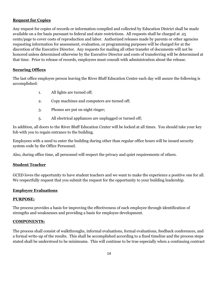#### **Request for Copies**

Any request for copies of records or information compiled and collected by Education District shall be made available on a fee basis pursuant to federal and state restrictions. All requests shall be charged at .25 cents/page to cover costs of reproduction and labor. Authorized releases made by parents or other agencies requesting information for assessment, evaluation, or programming purposes will be charged for at the discretion of the Executive Director. Any requests for mailing all other transfer of documents will not be honored unless determined otherwise by the Executive Director and costs of transferring will be determined at that time. Prior to release of records, employees must consult with administration about the release.

#### **Securing Offices**

The last office employee person leaving the River Bluff Education Center each day will assure the following is accomplished:

- 1. All lights are turned off;
- 2. Copy machines and computers are turned off;
- 3. Phones are put on night ringer;
- 5. All electrical appliances are unplugged or turned off;

In addition, all doors to the River Bluff Education Center will be locked at all times. You should take your key fob with you to regain entrance to the building.

Employees with a need to enter the building during other than regular office hours will be issued security system code by the Office Personnel.

Also, during office time, all personnel will respect the privacy and quiet requirements of others.

#### **Student Teacher**

GCED loves the opportunity to have student teachers and we want to make the experience a positive one for all. We respectfully request that you submit the request for the opportunity to your building leadership.

#### **Employee Evaluations**

#### **PURPOSE:**

The process provides a basis for improving the effectiveness of each employee through identification of strengths and weaknesses and providing a basis for employee development.

#### **COMPONENTS:**

The process shall consist of walkthroughs, informal evaluations, formal evaluations, feedback conferences, and a formal write-up of the results. This shall be accomplished according to a fixed timeline and the process steps stated shall be understood to be minimums. This will continue to be true especially when a continuing contract